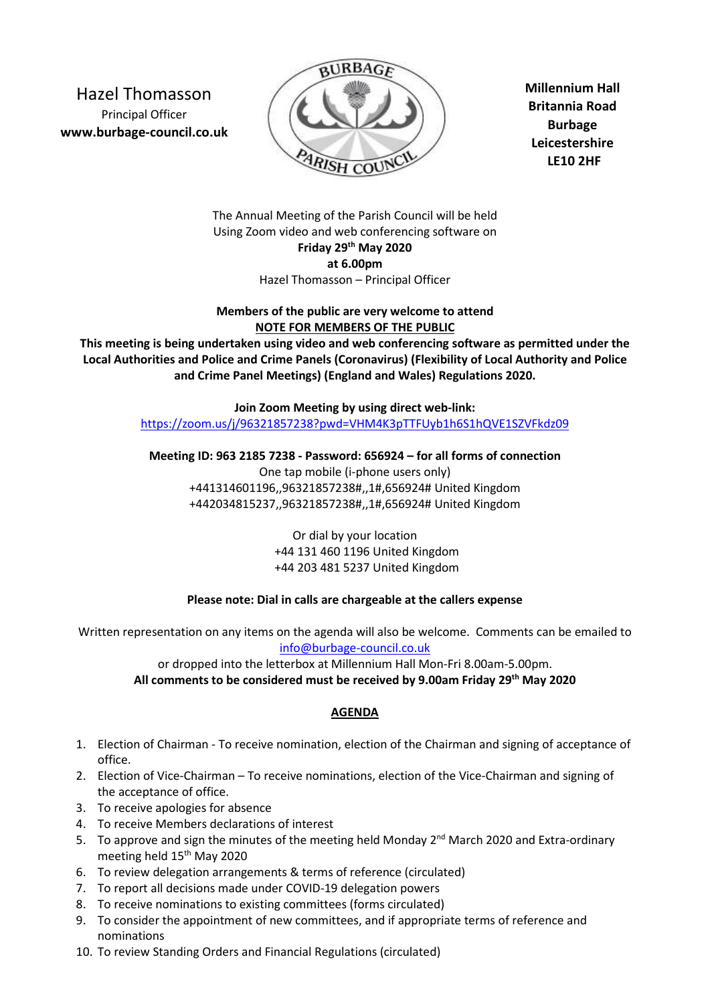Hazel Thomasson Principal Officer **www.burbage-council.co.uk** 



**Millennium Hall Britannia Road Burbage Leicestershire LE10 2HF** 

The Annual Meeting of the Parish Council will be held Using Zoom video and web conferencing software on **Friday 29th May 2020 at 6.00pm**  Hazel Thomasson – Principal Officer

**Members of the public are very welcome to attend NOTE FOR MEMBERS OF THE PUBLIC** 

**This meeting is being undertaken using video and web conferencing software as permitted under the Local Authorities and Police and Crime Panels (Coronavirus) (Flexibility of Local Authority and Police and Crime Panel Meetings) (England and Wales) Regulations 2020.** 

> **Join Zoom Meeting by using direct web-link:**  https://zoom.us/j/96321857238?pwd=VHM4K3pTTFUyb1h6S1hQVE1SZVFkdz09

**Meeting ID: 963 2185 7238 - Password: 656924 – for all forms of connection** 

One tap mobile (i-phone users only) +441314601196,,96321857238#,,1#,656924# United Kingdom +442034815237,,96321857238#,,1#,656924# United Kingdom

> Or dial by your location +44 131 460 1196 United Kingdom +44 203 481 5237 United Kingdom

## **Please note: Dial in calls are chargeable at the callers expense**

Written representation on any items on the agenda will also be welcome. Comments can be emailed to info@burbage-council.co.uk

or dropped into the letterbox at Millennium Hall Mon-Fri 8.00am-5.00pm.

**All comments to be considered must be received by 9.00am Friday 29th May 2020** 

## **AGENDA**

- 1. Election of Chairman To receive nomination, election of the Chairman and signing of acceptance of office.
- 2. Election of Vice-Chairman To receive nominations, election of the Vice-Chairman and signing of the acceptance of office.
- 3. To receive apologies for absence
- 4. To receive Members declarations of interest
- 5. To approve and sign the minutes of the meeting held Monday  $2^{nd}$  March 2020 and Extra-ordinary meeting held 15th May 2020
- 6. To review delegation arrangements & terms of reference (circulated)
- 7. To report all decisions made under COVID-19 delegation powers
- 8. To receive nominations to existing committees (forms circulated)
- 9. To consider the appointment of new committees, and if appropriate terms of reference and nominations
- 10. To review Standing Orders and Financial Regulations (circulated)